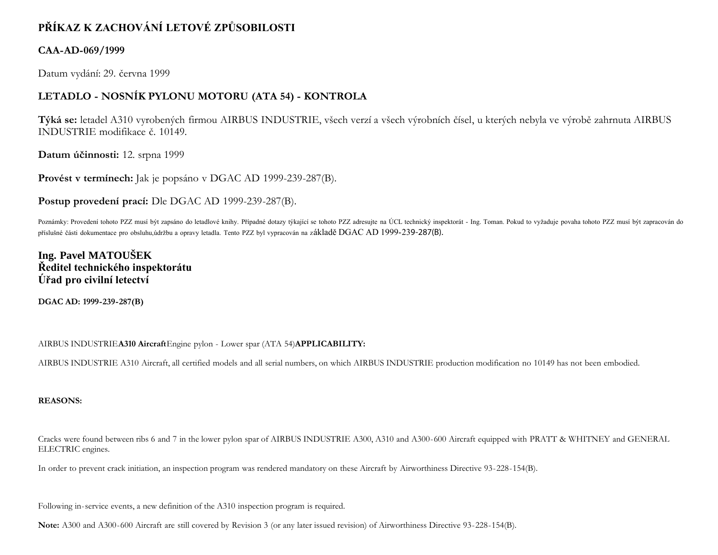# **PŘÍKAZ K ZACHOVÁNÍ LETOVÉ ZPŮSOBILOSTI**

### **CAA-AD-069/1999**

Datum vydání: 29. června 1999

### **LETADLO - NOSNÍK PYLONU MOTORU (ATA 54) - KONTROLA**

**Týká se:** letadel A310 vyrobených firmou AIRBUS INDUSTRIE, všech verzí a všech výrobních čísel, u kterých nebyla ve výrobě zahrnuta AIRBUS INDUSTRIE modifikace č. 10149.

**Datum účinnosti:** 12. srpna 1999

**Provést v termínech:** Jak je popsáno v DGAC AD 1999-239-287(B).

**Postup provedení prací:** Dle DGAC AD 1999-239-287(B).

Poznámky: Provedení tohoto PZZ musí být zapsáno do letadlové knihy. Případné dotazy týkající se tohoto PZZ adresujte na ÚCL technický inspektorát - Ing. Toman. Pokud to vyžaduje povaha tohoto PZZ musí být zapracován do příslušné části dokumentace pro obsluhu,údržbu a opravy letadla. Tento PZZ byl vypracován na základě DGAC AD 1999-239-287(B).

## **Ing. Pavel MATOUŠEK Ředitel technického inspektorátu Úřad pro civilní letectví**

**DGAC AD: 1999-239-287(B)**

AIRBUS INDUSTRIE**A310 Aircraft**Engine pylon - Lower spar (ATA 54)**APPLICABILITY:**

AIRBUS INDUSTRIE A310 Aircraft, all certified models and all serial numbers, on which AIRBUS INDUSTRIE production modification no 10149 has not been embodied.

### **REASONS:**

Cracks were found between ribs 6 and 7 in the lower pylon spar of AIRBUS INDUSTRIE A300, A310 and A300-600 Aircraft equipped with PRATT & WHITNEY and GENERAL ELECTRIC engines.

In order to prevent crack initiation, an inspection program was rendered mandatory on these Aircraft by Airworthiness Directive 93-228-154(B).

Following in-service events, a new definition of the A310 inspection program is required.

**Note:** A300 and A300-600 Aircraft are still covered by Revision 3 (or any later issued revision) of Airworthiness Directive 93-228-154(B).